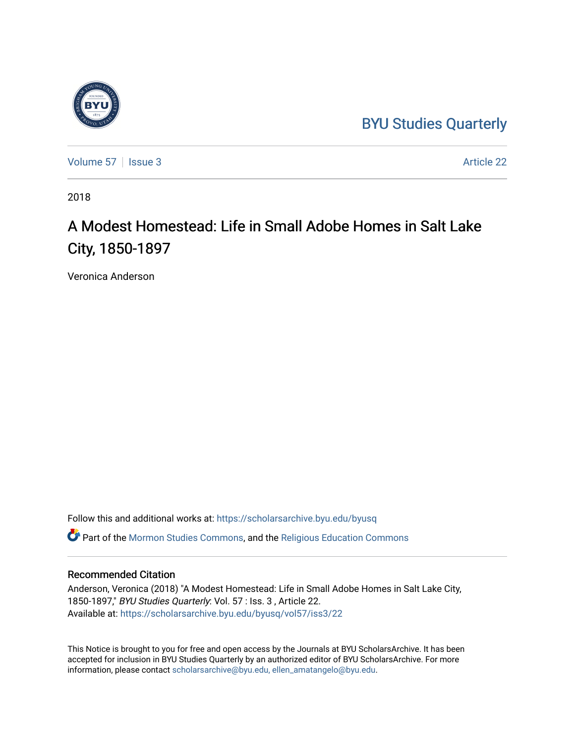## [BYU Studies Quarterly](https://scholarsarchive.byu.edu/byusq)



[Volume 57](https://scholarsarchive.byu.edu/byusq/vol57) | [Issue 3](https://scholarsarchive.byu.edu/byusq/vol57/iss3) Article 22

2018

## A Modest Homestead: Life in Small Adobe Homes in Salt Lake City, 1850-1897

Veronica Anderson

Follow this and additional works at: [https://scholarsarchive.byu.edu/byusq](https://scholarsarchive.byu.edu/byusq?utm_source=scholarsarchive.byu.edu%2Fbyusq%2Fvol57%2Fiss3%2F22&utm_medium=PDF&utm_campaign=PDFCoverPages) 

Part of the [Mormon Studies Commons](http://network.bepress.com/hgg/discipline/1360?utm_source=scholarsarchive.byu.edu%2Fbyusq%2Fvol57%2Fiss3%2F22&utm_medium=PDF&utm_campaign=PDFCoverPages), and the [Religious Education Commons](http://network.bepress.com/hgg/discipline/1414?utm_source=scholarsarchive.byu.edu%2Fbyusq%2Fvol57%2Fiss3%2F22&utm_medium=PDF&utm_campaign=PDFCoverPages) 

## Recommended Citation

Anderson, Veronica (2018) "A Modest Homestead: Life in Small Adobe Homes in Salt Lake City, 1850-1897," BYU Studies Quarterly: Vol. 57 : Iss. 3 , Article 22. Available at: [https://scholarsarchive.byu.edu/byusq/vol57/iss3/22](https://scholarsarchive.byu.edu/byusq/vol57/iss3/22?utm_source=scholarsarchive.byu.edu%2Fbyusq%2Fvol57%2Fiss3%2F22&utm_medium=PDF&utm_campaign=PDFCoverPages) 

This Notice is brought to you for free and open access by the Journals at BYU ScholarsArchive. It has been accepted for inclusion in BYU Studies Quarterly by an authorized editor of BYU ScholarsArchive. For more information, please contact [scholarsarchive@byu.edu, ellen\\_amatangelo@byu.edu.](mailto:scholarsarchive@byu.edu,%20ellen_amatangelo@byu.edu)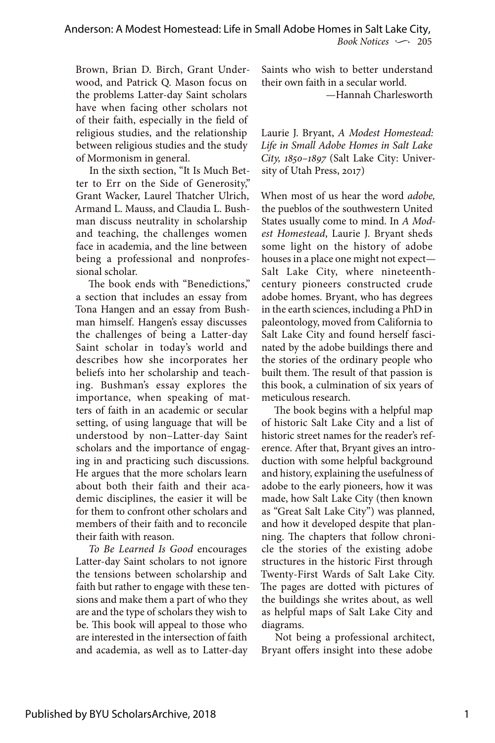Brown, Brian D. Birch, Grant Underwood, and Patrick Q. Mason focus on the problems Latter-day Saint scholars have when facing other scholars not of their faith, especially in the field of religious studies, and the relationship between religious studies and the study of Mormonism in general.

In the sixth section, "It Is Much Better to Err on the Side of Generosity," Grant Wacker, Laurel Thatcher Ulrich, Armand L. Mauss, and Claudia L. Bushman discuss neutrality in scholarship and teaching, the challenges women face in academia, and the line between being a professional and nonprofessional scholar.

The book ends with "Benedictions," a section that includes an essay from Tona Hangen and an essay from Bushman himself. Hangen's essay discusses the challenges of being a Latter-day Saint scholar in today's world and describes how she incorporates her beliefs into her scholarship and teaching. Bushman's essay explores the importance, when speaking of matters of faith in an academic or secular setting, of using language that will be understood by non–Latter-day Saint scholars and the importance of engaging in and practicing such discussions. He argues that the more scholars learn about both their faith and their academic disciplines, the easier it will be for them to confront other scholars and members of their faith and to reconcile their faith with reason.

*To Be Learned Is Good* encourages Latter-day Saint scholars to not ignore the tensions between scholarship and faith but rather to engage with these tensions and make them a part of who they are and the type of scholars they wish to be. This book will appeal to those who are interested in the intersection of faith and academia, as well as to Latter-day

Saints who wish to better understand their own faith in a secular world. —Hannah Charlesworth

Laurie J. Bryant, *A Modest Homestead: Life in Small Adobe Homes in Salt Lake City, 1850–1897* (Salt Lake City: University of Utah Press, 2017)

When most of us hear the word *adobe,* the pueblos of the southwestern United States usually come to mind. In *A Modest Homestead*, Laurie J. Bryant sheds some light on the history of adobe houses in a place one might not expect— Salt Lake City, where nineteenthcentury pioneers constructed crude adobe homes. Bryant, who has degrees in the earth sciences, including a PhD in paleontology, moved from California to Salt Lake City and found herself fascinated by the adobe buildings there and the stories of the ordinary people who built them. The result of that passion is this book, a culmination of six years of meticulous research.

The book begins with a helpful map of historic Salt Lake City and a list of historic street names for the reader's reference. After that, Bryant gives an introduction with some helpful background and history, explaining the usefulness of adobe to the early pioneers, how it was made, how Salt Lake City (then known as "Great Salt Lake City") was planned, and how it developed despite that planning. The chapters that follow chronicle the stories of the existing adobe structures in the historic First through Twenty-First Wards of Salt Lake City. The pages are dotted with pictures of the buildings she writes about, as well as helpful maps of Salt Lake City and diagrams.

Not being a professional architect, Bryant offers insight into these adobe